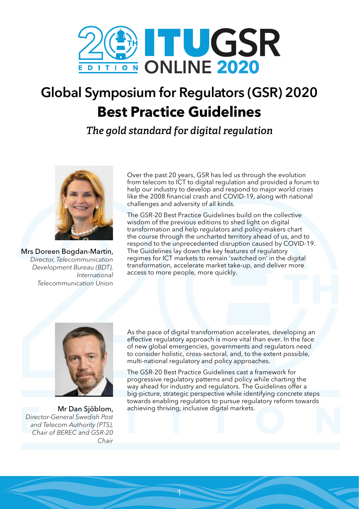

## Global Symposium for Regulators (GSR) 2020 **Best Practice Guidelines**

*The gold standard for digital regulation*



Mrs Doreen Bogdan-Martin, *Director, Telecommunication Development Bureau (BDT), International Telecommunication Union*

Over the past 20 years, GSR has led us through the evolution from telecom to ICT to digital regulation and provided a forum to help our industry to develop and respond to major world crises like the 2008 financial crash and COVID-19, along with national challenges and adversity of all kinds.

The GSR-20 Best Practice Guidelines build on the collective wisdom of the previous editions to shed light on digital transformation and help regulators and policy-makers chart the course through the uncharted territory ahead of us, and to respond to the unprecedented disruption caused by COVID-19. The Guidelines lay down the key features of regulatory regimes for ICT markets to remain 'switched on' in the digital transformation, accelerate market take-up, and deliver more access to more people, more quickly.



Mr Dan Sjöblom, *Director-General Swedish Post and Telecom Authority (PTS), Chair of BEREC and GSR-20 Chair*

As the pace of digital transformation accelerates, developing an effective regulatory approach is more vital than ever. In the face of new global emergencies, governments and regulators need to consider holistic, cross-sectoral, and, to the extent possible, multi-national regulatory and policy approaches.

The GSR-20 Best Practice Guidelines cast a framework for progressive regulatory patterns and policy while charting the way ahead for industry and regulators. The Guidelines offer a big-picture, strategic perspective while identifying concrete steps towards enabling regulators to pursue regulatory reform towards achieving thriving, inclusive digital markets.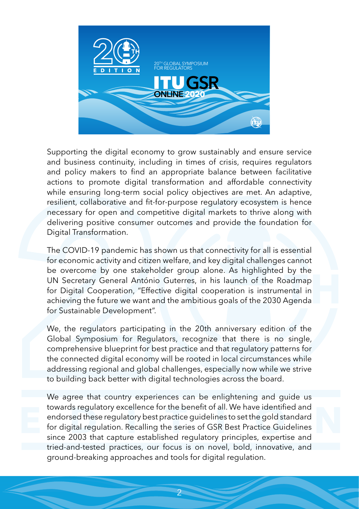

Supporting the digital economy to grow sustainably and ensure service and business continuity, including in times of crisis, requires regulators and policy makers to find an appropriate balance between facilitative actions to promote digital transformation and affordable connectivity while ensuring long-term social policy objectives are met. An adaptive, resilient, collaborative and fit-for-purpose regulatory ecosystem is hence necessary for open and competitive digital markets to thrive along with delivering positive consumer outcomes and provide the foundation for Digital Transformation.

The COVID-19 pandemic has shown us that connectivity for all is essential for economic activity and citizen welfare, and key digital challenges cannot be overcome by one stakeholder group alone. As highlighted by the UN Secretary General António Guterres, in his launch of the Roadmap for Digital Cooperation, "Effective digital cooperation is instrumental in achieving the future we want and the ambitious goals of the 2030 Agenda for Sustainable Development".

We, the regulators participating in the 20th anniversary edition of the Global Symposium for Regulators, recognize that there is no single, comprehensive blueprint for best practice and that regulatory patterns for the connected digital economy will be rooted in local circumstances while addressing regional and global challenges, especially now while we strive to building back better with digital technologies across the board.

We agree that country experiences can be enlightening and guide us towards regulatory excellence for the benefit of all. We have identified and endorsed these regulatory best practice guidelines to set the gold standard for digital regulation. Recalling the series of GSR Best Practice Guidelines since 2003 that capture established regulatory principles, expertise and tried-and-tested practices, our focus is on novel, bold, innovative, and ground-breaking approaches and tools for digital regulation.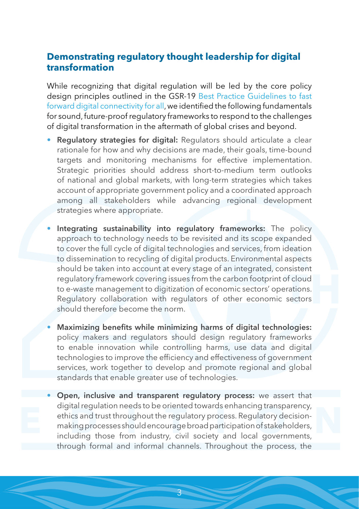## **Demonstrating regulatory thought leadership for digital transformation**

While recognizing that digital regulation will be led by the core policy design principles outlined in the GSR-19 [Best Practice Guidelines to fast](https://www.itu.int/en/ITU-D/Conferences/GSR/2019/Documents/GSR19BestPracticeGuidelines_E.pdf)  [forward digital connectivity for all](https://www.itu.int/en/ITU-D/Conferences/GSR/2019/Documents/GSR19BestPracticeGuidelines_E.pdf), we identified the following fundamentals for sound, future-proof regulatory frameworks to respond to the challenges of digital transformation in the aftermath of global crises and beyond.

- Regulatory strategies for digital: Regulators should articulate a clear rationale for how and why decisions are made, their goals, time-bound targets and monitoring mechanisms for effective implementation. Strategic priorities should address short-to-medium term outlooks of national and global markets, with long-term strategies which takes account of appropriate government policy and a coordinated approach among all stakeholders while advancing regional development strategies where appropriate.
- Integrating sustainability into regulatory frameworks: The policy approach to technology needs to be revisited and its scope expanded to cover the full cycle of digital technologies and services, from ideation to dissemination to recycling of digital products. Environmental aspects should be taken into account at every stage of an integrated, consistent regulatory framework covering issues from the carbon footprint of cloud to e-waste management to digitization of economic sectors' operations. Regulatory collaboration with regulators of other economic sectors should therefore become the norm.
- Maximizing benefits while minimizing harms of digital technologies: policy makers and regulators should design regulatory frameworks to enable innovation while controlling harms, use data and digital technologies to improve the efficiency and effectiveness of government services, work together to develop and promote regional and global standards that enable greater use of technologies.
- Open, inclusive and transparent regulatory process: we assert that digital regulation needs to be oriented towards enhancing transparency, ethics and trust throughout the regulatory process. Regulatory decisionmaking processes should encourage broad participation of stakeholders, including those from industry, civil society and local governments, through formal and informal channels. Throughout the process, the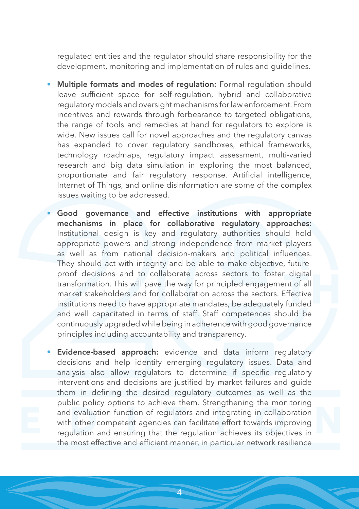regulated entities and the regulator should share responsibility for the development, monitoring and implementation of rules and guidelines.

- Multiple formats and modes of regulation: Formal regulation should leave sufficient space for self-regulation, hybrid and collaborative regulatory models and oversight mechanisms for law enforcement. From incentives and rewards through forbearance to targeted obligations, the range of tools and remedies at hand for regulators to explore is wide. New issues call for novel approaches and the regulatory canvas has expanded to cover regulatory sandboxes, ethical frameworks, technology roadmaps, regulatory impact assessment, multi-varied research and big data simulation in exploring the most balanced, proportionate and fair regulatory response. Artificial intelligence, Internet of Things, and online disinformation are some of the complex issues waiting to be addressed.
- Good governance and effective institutions with appropriate mechanisms in place for collaborative regulatory approaches: Institutional design is key and regulatory authorities should hold appropriate powers and strong independence from market players as well as from national decision-makers and political influences. They should act with integrity and be able to make objective, futureproof decisions and to collaborate across sectors to foster digital transformation. This will pave the way for principled engagement of all market stakeholders and for collaboration across the sectors. Effective institutions need to have appropriate mandates, be adequately funded and well capacitated in terms of staff. Staff competences should be continuously upgraded while being in adherence with good governance principles including accountability and transparency.
- Evidence-based approach: evidence and data inform regulatory decisions and help identify emerging regulatory issues. Data and analysis also allow regulators to determine if specific regulatory interventions and decisions are justified by market failures and guide them in defining the desired regulatory outcomes as well as the public policy options to achieve them. Strengthening the monitoring and evaluation function of regulators and integrating in collaboration with other competent agencies can facilitate effort towards improving regulation and ensuring that the regulation achieves its objectives in the most effective and efficient manner, in particular network resilience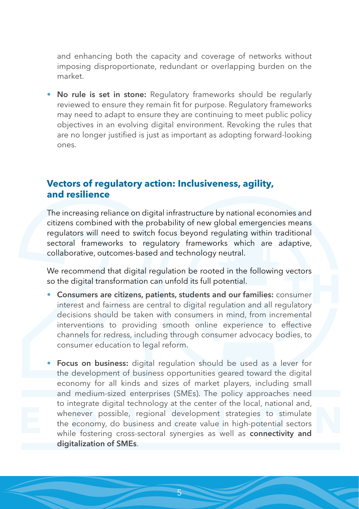and enhancing both the capacity and coverage of networks without imposing disproportionate, redundant or overlapping burden on the market.

No rule is set in stone: Regulatory frameworks should be regularly reviewed to ensure they remain fit for purpose. Regulatory frameworks may need to adapt to ensure they are continuing to meet public policy objectives in an evolving digital environment. Revoking the rules that are no longer justified is just as important as adopting forward-looking ones.

## **Vectors of regulatory action: Inclusiveness, agility, and resilience**

The increasing reliance on digital infrastructure by national economies and citizens combined with the probability of new global emergencies means regulators will need to switch focus beyond regulating within traditional sectoral frameworks to regulatory frameworks which are adaptive, collaborative, outcomes-based and technology neutral.

We recommend that digital regulation be rooted in the following vectors so the digital transformation can unfold its full potential.

- Consumers are citizens, patients, students and our families: consumer interest and fairness are central to digital regulation and all regulatory decisions should be taken with consumers in mind, from incremental interventions to providing smooth online experience to effective channels for redress, including through consumer advocacy bodies, to consumer education to legal reform.
- Focus on business: digital regulation should be used as a lever for the development of business opportunities geared toward the digital economy for all kinds and sizes of market players, including small and medium-sized enterprises (SMEs). The policy approaches need to integrate digital technology at the center of the local, national and, whenever possible, regional development strategies to stimulate the economy, do business and create value in high-potential sectors while fostering cross-sectoral synergies as well as connectivity and digitalization of SMEs.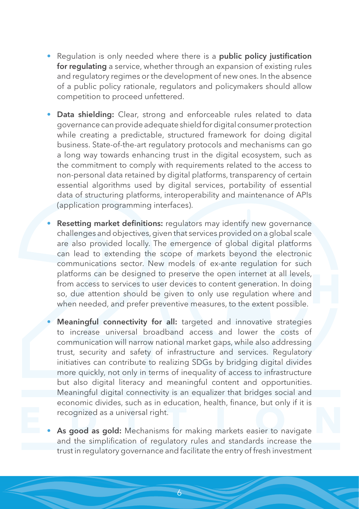- Requlation is only needed where there is a **public policy justification** for regulating a service, whether through an expansion of existing rules and regulatory regimes or the development of new ones. In the absence of a public policy rationale, regulators and policymakers should allow competition to proceed unfettered.
- Data shielding: Clear, strong and enforceable rules related to data governance can provide adequate shield for digital consumer protection while creating a predictable, structured framework for doing digital business. State-of-the-art regulatory protocols and mechanisms can go a long way towards enhancing trust in the digital ecosystem, such as the commitment to comply with requirements related to the access to non-personal data retained by digital platforms, transparency of certain essential algorithms used by digital services, portability of essential data of structuring platforms, interoperability and maintenance of APIs (application programming interfaces).
- Resetting market definitions: regulators may identify new governance challenges and objectives, given that services provided on a global scale are also provided locally. The emergence of global digital platforms can lead to extending the scope of markets beyond the electronic communications sector. New models of ex-ante regulation for such platforms can be designed to preserve the open internet at all levels, from access to services to user devices to content generation. In doing so, due attention should be given to only use regulation where and when needed, and prefer preventive measures, to the extent possible.
- Meaningful connectivity for all: targeted and innovative strategies to increase universal broadband access and lower the costs of communication will narrow national market gaps, while also addressing trust, security and safety of infrastructure and services. Regulatory initiatives can contribute to realizing SDGs by bridging digital divides more quickly, not only in terms of inequality of access to infrastructure but also digital literacy and meaningful content and opportunities. Meaningful digital connectivity is an equalizer that bridges social and economic divides, such as in education, health, finance, but only if it is recognized as a universal right.
- As good as gold: Mechanisms for making markets easier to navigate and the simplification of regulatory rules and standards increase the trust in regulatory governance and facilitate the entry of fresh investment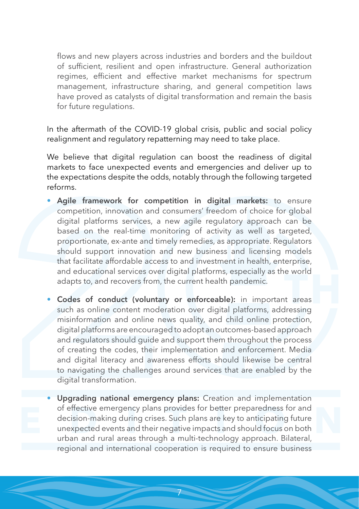flows and new players across industries and borders and the buildout of sufficient, resilient and open infrastructure. General authorization regimes, efficient and effective market mechanisms for spectrum management, infrastructure sharing, and general competition laws have proved as catalysts of digital transformation and remain the basis for future regulations.

In the aftermath of the COVID-19 global crisis, public and social policy realignment and regulatory repatterning may need to take place.

We believe that digital regulation can boost the readiness of digital markets to face unexpected events and emergencies and deliver up to the expectations despite the odds, notably through the following targeted reforms.

- Agile framework for competition in digital markets: to ensure competition, innovation and consumers' freedom of choice for global digital platforms services, a new agile regulatory approach can be based on the real-time monitoring of activity as well as targeted, proportionate, ex-ante and timely remedies, as appropriate. Regulators should support innovation and new business and licensing models that facilitate affordable access to and investment in health, enterprise, and educational services over digital platforms, especially as the world adapts to, and recovers from, the current health pandemic.
- Codes of conduct (voluntary or enforceable): in important areas such as online content moderation over digital platforms, addressing misinformation and online news quality, and child online protection, digital platforms are encouraged to adopt an outcomes-based approach and regulators should guide and support them throughout the process of creating the codes, their implementation and enforcement. Media and digital literacy and awareness efforts should likewise be central to navigating the challenges around services that are enabled by the digital transformation.
- Upgrading national emergency plans: Creation and implementation of effective emergency plans provides for better preparedness for and decision-making during crises. Such plans are key to anticipating future unexpected events and their negative impacts and should focus on both urban and rural areas through a multi-technology approach. Bilateral, regional and international cooperation is required to ensure business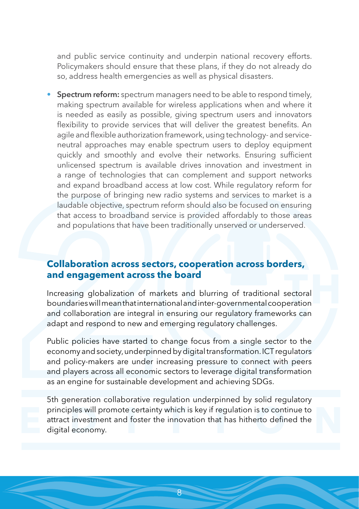and public service continuity and underpin national recovery efforts. Policymakers should ensure that these plans, if they do not already do so, address health emergencies as well as physical disasters.

**Spectrum reform:** spectrum managers need to be able to respond timely, making spectrum available for wireless applications when and where it is needed as easily as possible, giving spectrum users and innovators flexibility to provide services that will deliver the greatest benefits. An agile and flexible authorization framework, using technology- and serviceneutral approaches may enable spectrum users to deploy equipment quickly and smoothly and evolve their networks. Ensuring sufficient unlicensed spectrum is available drives innovation and investment in a range of technologies that can complement and support networks and expand broadband access at low cost. While regulatory reform for the purpose of bringing new radio systems and services to market is a laudable objective, spectrum reform should also be focused on ensuring that access to broadband service is provided affordably to those areas and populations that have been traditionally unserved or underserved.

## **Collaboration across sectors, cooperation across borders, and engagement across the board**

Increasing globalization of markets and blurring of traditional sectoral boundaries will mean that international and inter-governmental cooperation and collaboration are integral in ensuring our regulatory frameworks can adapt and respond to new and emerging regulatory challenges.

Public policies have started to change focus from a single sector to the economy and society, underpinned by digital transformation. ICT regulators and policy-makers are under increasing pressure to connect with peers and players across all economic sectors to leverage digital transformation as an engine for sustainable development and achieving SDGs.

5th generation collaborative regulation underpinned by solid regulatory principles will promote certainty which is key if regulation is to continue to attract investment and foster the innovation that has hitherto defined the digital economy.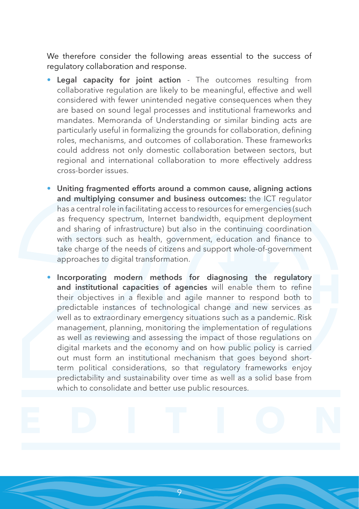We therefore consider the following areas essential to the success of regulatory collaboration and response.

- Legal capacity for joint action The outcomes resulting from collaborative regulation are likely to be meaningful, effective and well considered with fewer unintended negative consequences when they are based on sound legal processes and institutional frameworks and mandates. Memoranda of Understanding or similar binding acts are particularly useful in formalizing the grounds for collaboration, defining roles, mechanisms, and outcomes of collaboration. These frameworks could address not only domestic collaboration between sectors, but regional and international collaboration to more effectively address cross-border issues.
- Uniting fragmented efforts around a common cause, aligning actions and multiplying consumer and business outcomes: the ICT regulator has a central role in facilitating access to resources for emergencies (such as frequency spectrum, Internet bandwidth, equipment deployment and sharing of infrastructure) but also in the continuing coordination with sectors such as health, government, education and finance to take charge of the needs of citizens and support whole-of-government approaches to digital transformation.
- Incorporating modern methods for diagnosing the regulatory and institutional capacities of agencies will enable them to refine their objectives in a flexible and agile manner to respond both to predictable instances of technological change and new services as well as to extraordinary emergency situations such as a pandemic. Risk management, planning, monitoring the implementation of regulations as well as reviewing and assessing the impact of those regulations on digital markets and the economy and on how public policy is carried out must form an institutional mechanism that goes beyond shortterm political considerations, so that regulatory frameworks enjoy predictability and sustainability over time as well as a solid base from which to consolidate and better use public resources.